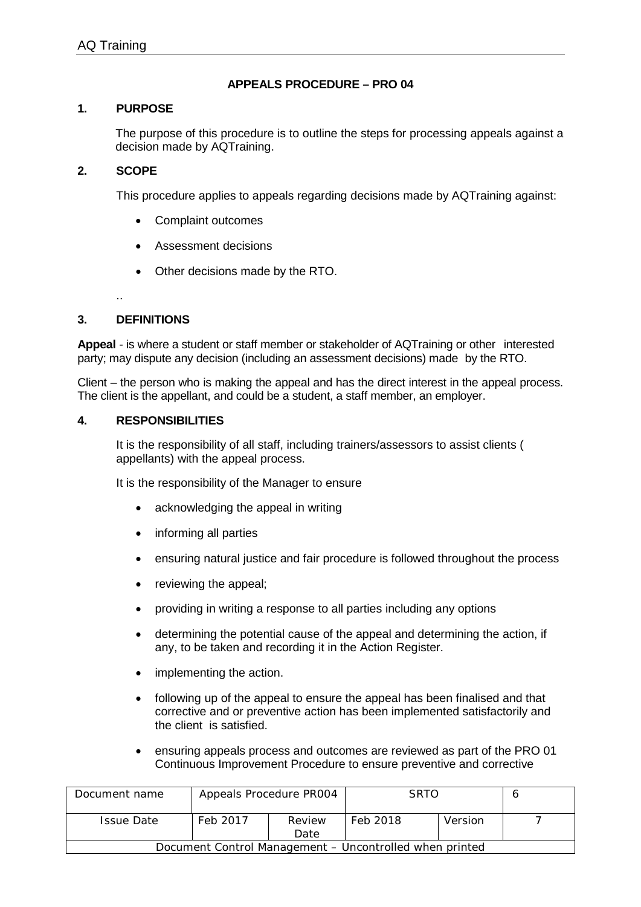# **APPEALS PROCEDURE – PRO 04**

### **1. PURPOSE**

The purpose of this procedure is to outline the steps for processing appeals against a decision made by AQTraining.

### **2. SCOPE**

This procedure applies to appeals regarding decisions made by AQTraining against:

- Complaint outcomes
- Assessment decisions
- Other decisions made by the RTO.

..

# **3. DEFINITIONS**

**Appeal** - is where a student or staff member or stakeholder of AQTraining or other interested party; may dispute any decision (including an assessment decisions) made by the RTO.

Client – the person who is making the appeal and has the direct interest in the appeal process. The client is the appellant, and could be a student, a staff member, an employer.

#### **4. RESPONSIBILITIES**

It is the responsibility of all staff, including trainers/assessors to assist clients ( appellants) with the appeal process.

It is the responsibility of the Manager to ensure

- acknowledging the appeal in writing
- informing all parties
- ensuring natural justice and fair procedure is followed throughout the process
- reviewing the appeal;
- providing in writing a response to all parties including any options
- determining the potential cause of the appeal and determining the action, if any, to be taken and recording it in the Action Register.
- implementing the action.
- following up of the appeal to ensure the appeal has been finalised and that corrective and or preventive action has been implemented satisfactorily and the client is satisfied.
- ensuring appeals process and outcomes are reviewed as part of the PRO 01 Continuous Improvement Procedure to ensure preventive and corrective

| Document name                                           | Appeals Procedure PR004 |                | <b>SRTO</b> |         |  |  |
|---------------------------------------------------------|-------------------------|----------------|-------------|---------|--|--|
| <b>Issue Date</b>                                       | Feb 2017                | Review<br>Date | Feb 2018    | Version |  |  |
| Document Control Management – Uncontrolled when printed |                         |                |             |         |  |  |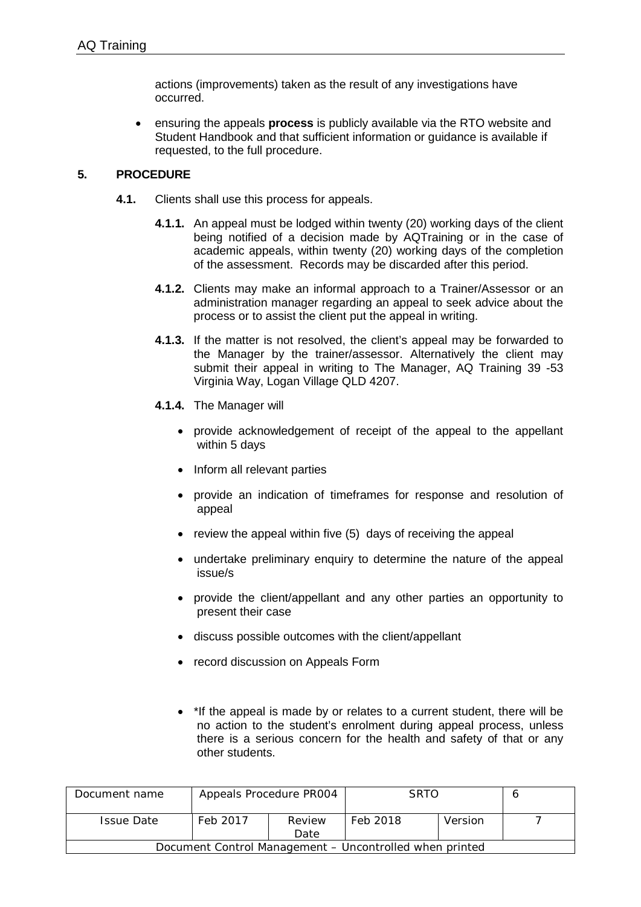actions (improvements) taken as the result of any investigations have occurred.

• ensuring the appeals **process** is publicly available via the RTO website and Student Handbook and that sufficient information or guidance is available if requested, to the full procedure.

### **5. PROCEDURE**

- **4.1.** Clients shall use this process for appeals.
	- **4.1.1.** An appeal must be lodged within twenty (20) working days of the client being notified of a decision made by AQTraining or in the case of academic appeals, within twenty (20) working days of the completion of the assessment. Records may be discarded after this period.
	- **4.1.2.** Clients may make an informal approach to a Trainer/Assessor or an administration manager regarding an appeal to seek advice about the process or to assist the client put the appeal in writing.
	- **4.1.3.** If the matter is not resolved, the client's appeal may be forwarded to the Manager by the trainer/assessor. Alternatively the client may submit their appeal in writing to The Manager, AQ Training 39 -53 Virginia Way, Logan Village QLD 4207.
	- **4.1.4.** The Manager will
		- provide acknowledgement of receipt of the appeal to the appellant within 5 days
		- Inform all relevant parties
		- provide an indication of timeframes for response and resolution of appeal
		- review the appeal within five (5) days of receiving the appeal
		- undertake preliminary enquiry to determine the nature of the appeal issue/s
		- provide the client/appellant and any other parties an opportunity to present their case
		- discuss possible outcomes with the client/appellant
		- record discussion on Appeals Form
		- \*If the appeal is made by or relates to a current student, there will be no action to the student's enrolment during appeal process, unless there is a serious concern for the health and safety of that or any other students.

| Document name                                           | Appeals Procedure PR004 |                | <b>SRTO</b> |         |  |  |
|---------------------------------------------------------|-------------------------|----------------|-------------|---------|--|--|
| <b>Issue Date</b>                                       | Feb 2017                | Review<br>Date | Feb 2018    | Version |  |  |
| Document Control Management – Uncontrolled when printed |                         |                |             |         |  |  |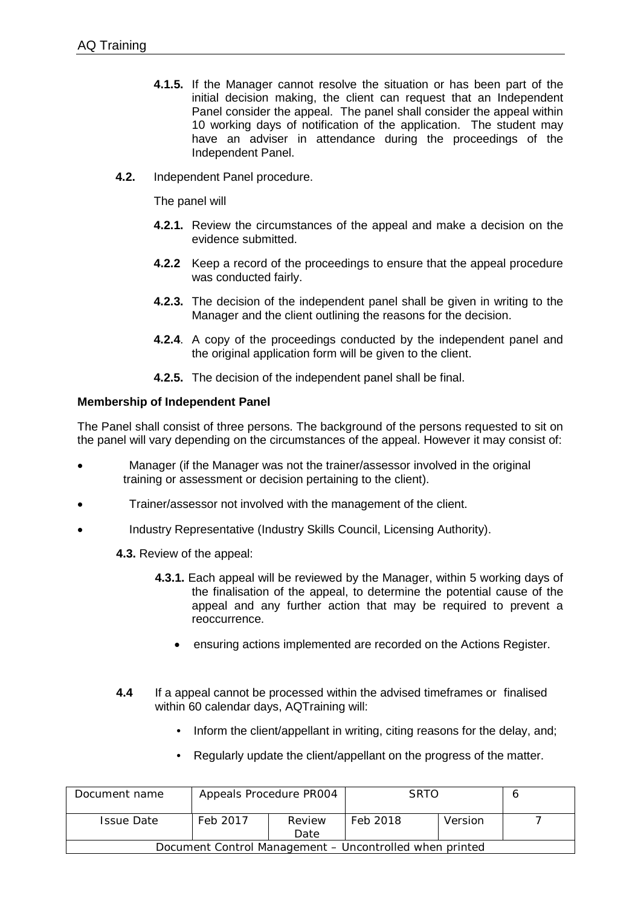- **4.1.5.** If the Manager cannot resolve the situation or has been part of the initial decision making, the client can request that an Independent Panel consider the appeal. The panel shall consider the appeal within 10 working days of notification of the application. The student may have an adviser in attendance during the proceedings of the Independent Panel.
- **4.2.** Independent Panel procedure.

The panel will

- **4.2.1.** Review the circumstances of the appeal and make a decision on the evidence submitted.
- **4.2.2** Keep a record of the proceedings to ensure that the appeal procedure was conducted fairly.
- **4.2.3.** The decision of the independent panel shall be given in writing to the Manager and the client outlining the reasons for the decision.
- **4.2.4**. A copy of the proceedings conducted by the independent panel and the original application form will be given to the client.
- **4.2.5.** The decision of the independent panel shall be final.

# **Membership of Independent Panel**

The Panel shall consist of three persons. The background of the persons requested to sit on the panel will vary depending on the circumstances of the appeal. However it may consist of:

- Manager (if the Manager was not the trainer/assessor involved in the original training or assessment or decision pertaining to the client).
- Trainer/assessor not involved with the management of the client.
- Industry Representative (Industry Skills Council, Licensing Authority).

**4.3.** Review of the appeal:

- **4.3.1.** Each appeal will be reviewed by the Manager, within 5 working days of the finalisation of the appeal, to determine the potential cause of the appeal and any further action that may be required to prevent a reoccurrence.
	- ensuring actions implemented are recorded on the Actions Register.
- **4.4** If a appeal cannot be processed within the advised timeframes or finalised within 60 calendar days, AQTraining will:
	- Inform the client/appellant in writing, citing reasons for the delay, and:
	- Regularly update the client/appellant on the progress of the matter.

| Document name                                           | Appeals Procedure PR004 |                | <b>SRTO</b> |         |  |  |
|---------------------------------------------------------|-------------------------|----------------|-------------|---------|--|--|
| <b>Issue Date</b>                                       | Feb 2017                | Review<br>Date | Feb 2018    | Version |  |  |
| Document Control Management – Uncontrolled when printed |                         |                |             |         |  |  |